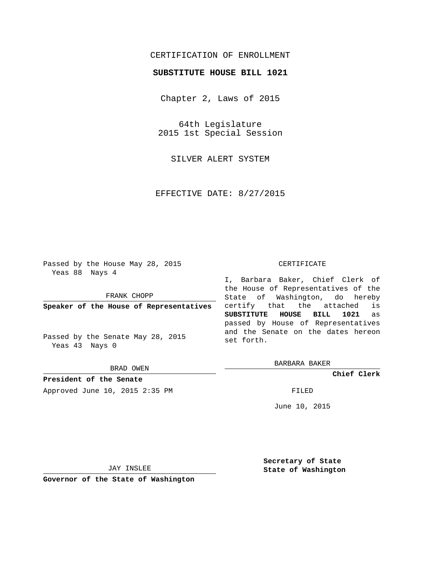# CERTIFICATION OF ENROLLMENT

## **SUBSTITUTE HOUSE BILL 1021**

Chapter 2, Laws of 2015

64th Legislature 2015 1st Special Session

SILVER ALERT SYSTEM

EFFECTIVE DATE: 8/27/2015

Passed by the House May 28, 2015 Yeas 88 Nays 4

FRANK CHOPP

**Speaker of the House of Representatives**

Passed by the Senate May 28, 2015 Yeas 43 Nays 0

BRAD OWEN

**President of the Senate** Approved June 10, 2015 2:35 PM FILED

### CERTIFICATE

I, Barbara Baker, Chief Clerk of the House of Representatives of the State of Washington, do hereby certify that the attached is **SUBSTITUTE HOUSE BILL 1021** as passed by House of Representatives and the Senate on the dates hereon set forth.

BARBARA BAKER

**Chief Clerk**

June 10, 2015

JAY INSLEE

**Governor of the State of Washington**

**Secretary of State State of Washington**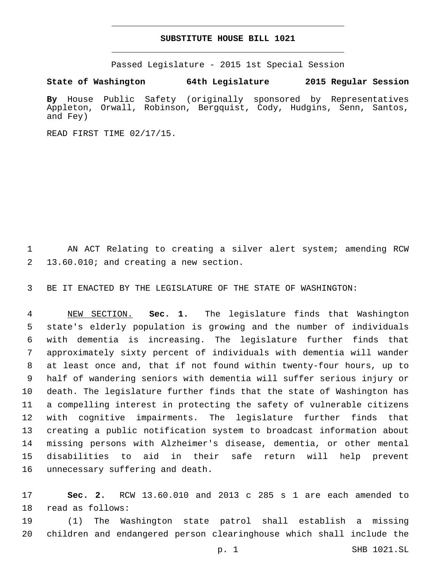## **SUBSTITUTE HOUSE BILL 1021**

Passed Legislature - 2015 1st Special Session

**State of Washington 64th Legislature 2015 Regular Session**

**By** House Public Safety (originally sponsored by Representatives Appleton, Orwall, Robinson, Bergquist, Cody, Hudgins, Senn, Santos, and Fey)

READ FIRST TIME 02/17/15.

 AN ACT Relating to creating a silver alert system; amending RCW 13.60.010; and creating a new section.2

BE IT ENACTED BY THE LEGISLATURE OF THE STATE OF WASHINGTON:

 NEW SECTION. **Sec. 1.** The legislature finds that Washington state's elderly population is growing and the number of individuals with dementia is increasing. The legislature further finds that approximately sixty percent of individuals with dementia will wander at least once and, that if not found within twenty-four hours, up to half of wandering seniors with dementia will suffer serious injury or death. The legislature further finds that the state of Washington has a compelling interest in protecting the safety of vulnerable citizens with cognitive impairments. The legislature further finds that creating a public notification system to broadcast information about missing persons with Alzheimer's disease, dementia, or other mental disabilities to aid in their safe return will help prevent unnecessary suffering and death.

 **Sec. 2.** RCW 13.60.010 and 2013 c 285 s 1 are each amended to 18 read as follows:

 (1) The Washington state patrol shall establish a missing children and endangered person clearinghouse which shall include the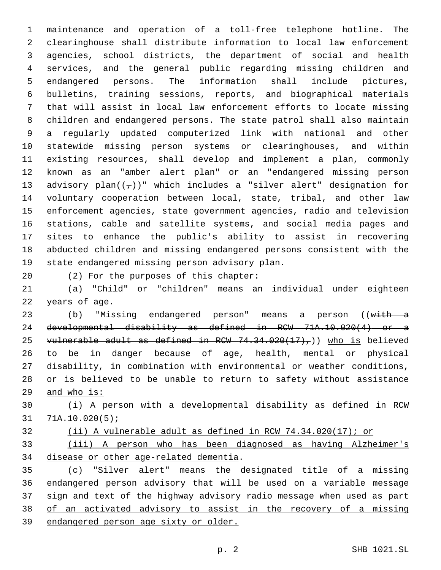maintenance and operation of a toll-free telephone hotline. The clearinghouse shall distribute information to local law enforcement agencies, school districts, the department of social and health services, and the general public regarding missing children and endangered persons. The information shall include pictures, bulletins, training sessions, reports, and biographical materials that will assist in local law enforcement efforts to locate missing children and endangered persons. The state patrol shall also maintain a regularly updated computerized link with national and other statewide missing person systems or clearinghouses, and within existing resources, shall develop and implement a plan, commonly known as an "amber alert plan" or an "endangered missing person 13 advisory plan $((\tau))$ " which includes a "silver alert" designation for voluntary cooperation between local, state, tribal, and other law enforcement agencies, state government agencies, radio and television stations, cable and satellite systems, and social media pages and sites to enhance the public's ability to assist in recovering abducted children and missing endangered persons consistent with the 19 state endangered missing person advisory plan.

20 (2) For the purposes of this chapter:

 (a) "Child" or "children" means an individual under eighteen 22 years of age.

23 (b) "Missing endangered person" means a person ((with a developmental disability as defined in RCW 71A.10.020(4) or a 25 vulnerable adult as defined in RCW  $74.34.020(17)$ , who is believed to be in danger because of age, health, mental or physical disability, in combination with environmental or weather conditions, or is believed to be unable to return to safety without assistance and who is:

 (i) A person with a developmental disability as defined in RCW 71A.10.020(5);

(ii) A vulnerable adult as defined in RCW 74.34.020(17); or

 (iii) A person who has been diagnosed as having Alzheimer's 34 disease or other age-related dementia.

 (c) "Silver alert" means the designated title of a missing endangered person advisory that will be used on a variable message sign and text of the highway advisory radio message when used as part of an activated advisory to assist in the recovery of a missing endangered person age sixty or older.